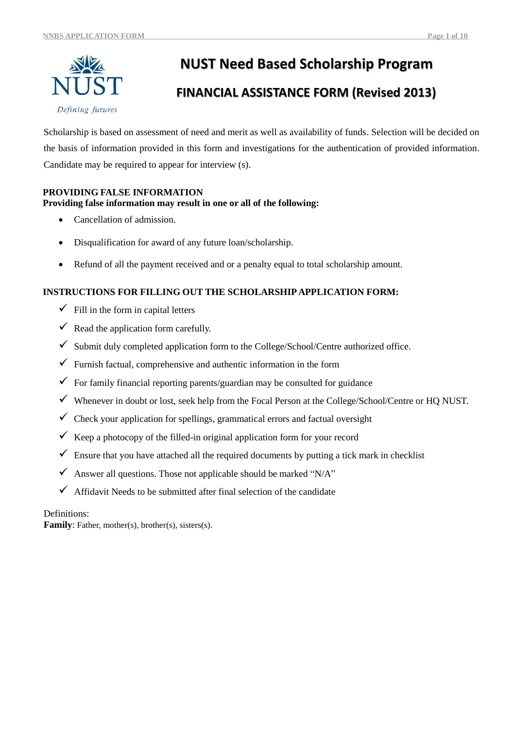

# **NUST Need Based Scholarship Program**

# **FINANCIAL ASSISTANCE FORM (Revised 2013)**

Scholarship is based on assessment of need and merit as well as availability of funds. Selection will be decided on the basis of information provided in this form and investigations for the authentication of provided information. Candidate may be required to appear for interview (s).

## **PROVIDING FALSE INFORMATION**

## **Providing false information may result in one or all of the following:**

- Cancellation of admission.
- Disqualification for award of any future loan/scholarship.
- Refund of all the payment received and or a penalty equal to total scholarship amount.

## **INSTRUCTIONS FOR FILLING OUT THE SCHOLARSHIP APPLICATION FORM:**

- $\checkmark$  Fill in the form in capital letters
- $\checkmark$  Read the application form carefully.
- $\checkmark$  Submit duly completed application form to the College/School/Centre authorized office.
- $\checkmark$  Furnish factual, comprehensive and authentic information in the form
- $\checkmark$  For family financial reporting parents/guardian may be consulted for guidance
- Whenever in doubt or lost, seek help from the Focal Person at the College/School/Centre or HQ NUST.
- $\checkmark$  Check your application for spellings, grammatical errors and factual oversight
- $\checkmark$  Keep a photocopy of the filled-in original application form for your record
- $\checkmark$  Ensure that you have attached all the required documents by putting a tick mark in checklist
- $\checkmark$  Answer all questions. Those not applicable should be marked "N/A"
- $\checkmark$  Affidavit Needs to be submitted after final selection of the candidate

## Definitions:

Family: Father, mother(s), brother(s), sisters(s).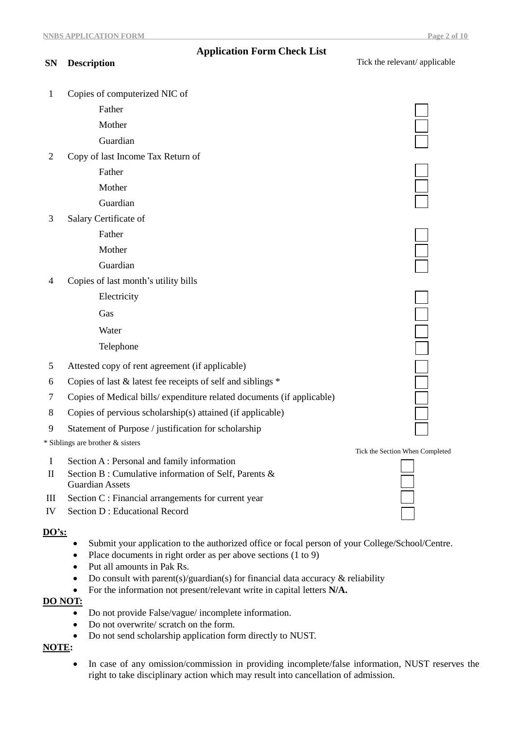## **Application Form Check List**

| <b>SN</b>      | <b>Description</b>                                                    | Tick the relevant/ applicable   |
|----------------|-----------------------------------------------------------------------|---------------------------------|
| 1              | Copies of computerized NIC of                                         |                                 |
|                | Father                                                                |                                 |
|                | Mother                                                                |                                 |
|                | Guardian                                                              |                                 |
| $\overline{2}$ | Copy of last Income Tax Return of                                     |                                 |
|                | Father                                                                |                                 |
|                | Mother                                                                |                                 |
|                | Guardian                                                              |                                 |
| 3              | Salary Certificate of                                                 |                                 |
|                | Father                                                                |                                 |
|                | Mother                                                                |                                 |
|                | Guardian                                                              |                                 |
| 4              | Copies of last month's utility bills                                  |                                 |
|                | Electricity                                                           |                                 |
|                | Gas                                                                   |                                 |
|                | Water                                                                 |                                 |
|                | Telephone                                                             |                                 |
| 5              | Attested copy of rent agreement (if applicable)                       |                                 |
| 6              | Copies of last & latest fee receipts of self and siblings *           |                                 |
| 7              | Copies of Medical bills/expenditure related documents (if applicable) |                                 |
| 8              | Copies of pervious scholarship(s) attained (if applicable)            |                                 |
| 9              | Statement of Purpose / justification for scholarship                  |                                 |
|                | * Siblings are brother & sisters                                      |                                 |
| $\bf{l}$       | Section A: Personal and family information                            | Tick the Section When Completed |

- II Section B : Cumulative information of Self, Parents &
- III Section C : Financial arrangements for current year
- IV Section D : Educational Record

Guardian Assets

#### **DO's:**

- Submit your application to the authorized office or focal person of your College/School/Centre. **u**
- Place documents in right order as per above sections (1 to 9)
- Put all amounts in Pak Rs.
- Do consult with parent(s)/guardian(s) for financial data accuracy  $\&$  reliability
- For the information not present/relevant write in capital letters **N/A.**

## **DO NOT:**

- Do not provide False/vague/ incomplete information.
- Do not overwrite/ scratch on the form.
- Do not send scholarship application form directly to NUST.

## **NOTE:**

• In case of any omission/commission in providing incomplete/false information, NUST reserves the right to take disciplinary action which may result into cancellation of admission.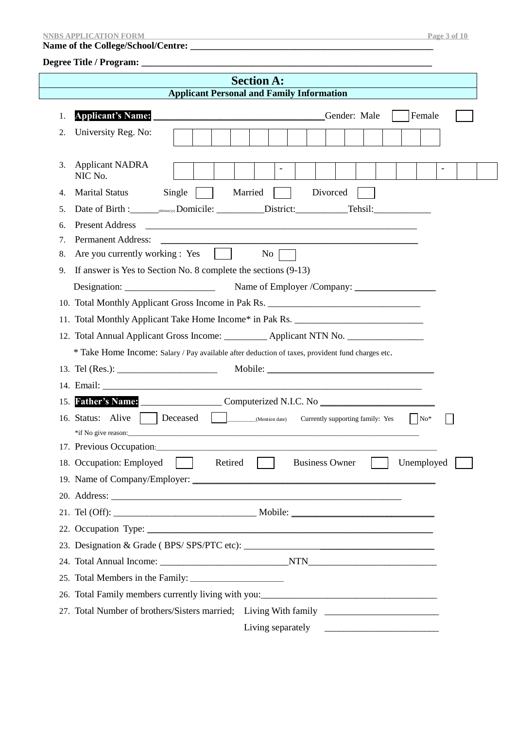#### **NNBS APPLICATION FORM** Page 3 of 10

#### **Name of the College/School/Centre: \_\_\_\_\_\_\_\_\_\_\_\_\_\_\_\_\_\_\_\_\_\_\_\_\_\_\_\_\_\_\_\_\_\_\_\_\_\_\_\_\_\_\_\_\_\_\_\_\_\_\_**

## **Degree Title / Program: \_\_\_\_\_\_\_\_\_\_\_\_\_\_\_\_\_\_\_\_\_\_\_\_\_\_\_\_\_\_\_\_\_\_\_\_\_\_\_\_\_\_\_\_\_\_\_\_\_\_\_\_\_\_\_\_\_\_\_\_\_**

|                                                  | <b>Section A:</b>                                                                                                                                                                                                                                         |  |  |  |  |  |  |  |  |
|--------------------------------------------------|-----------------------------------------------------------------------------------------------------------------------------------------------------------------------------------------------------------------------------------------------------------|--|--|--|--|--|--|--|--|
| <b>Applicant Personal and Family Information</b> |                                                                                                                                                                                                                                                           |  |  |  |  |  |  |  |  |
| 1.                                               | <b>Applicant's Name:</b><br>Gender: Male<br>Female                                                                                                                                                                                                        |  |  |  |  |  |  |  |  |
| 2.                                               | University Reg. No:                                                                                                                                                                                                                                       |  |  |  |  |  |  |  |  |
| 3.                                               | <b>Applicant NADRA</b><br>$\overline{\phantom{a}}$<br>$\overline{\phantom{a}}$<br>NIC No.                                                                                                                                                                 |  |  |  |  |  |  |  |  |
| 4.                                               | <b>Marital Status</b><br>Married<br>Divorced<br>Single                                                                                                                                                                                                    |  |  |  |  |  |  |  |  |
| 5.                                               |                                                                                                                                                                                                                                                           |  |  |  |  |  |  |  |  |
| 6.                                               | <b>Present Address</b><br><u> 2000 - Jan James James James James James James James James James James James James James James James James J</u>                                                                                                            |  |  |  |  |  |  |  |  |
| 7.                                               | <b>Permanent Address:</b>                                                                                                                                                                                                                                 |  |  |  |  |  |  |  |  |
| 8.                                               | Are you currently working : Yes $\vert$<br>$No \ \Box$                                                                                                                                                                                                    |  |  |  |  |  |  |  |  |
| 9.                                               | If answer is Yes to Section No. 8 complete the sections $(9-13)$                                                                                                                                                                                          |  |  |  |  |  |  |  |  |
|                                                  |                                                                                                                                                                                                                                                           |  |  |  |  |  |  |  |  |
|                                                  | 10. Total Monthly Applicant Gross Income in Pak Rs. ____________________________                                                                                                                                                                          |  |  |  |  |  |  |  |  |
|                                                  | 11. Total Monthly Applicant Take Home Income* in Pak Rs. _______________________                                                                                                                                                                          |  |  |  |  |  |  |  |  |
|                                                  | 12. Total Annual Applicant Gross Income: __________ Applicant NTN No. ___________                                                                                                                                                                         |  |  |  |  |  |  |  |  |
|                                                  | * Take Home Income: Salary / Pay available after deduction of taxes, provident fund charges etc.                                                                                                                                                          |  |  |  |  |  |  |  |  |
|                                                  |                                                                                                                                                                                                                                                           |  |  |  |  |  |  |  |  |
|                                                  |                                                                                                                                                                                                                                                           |  |  |  |  |  |  |  |  |
| 15.                                              | Father's Name: Computerized N.I.C. No                                                                                                                                                                                                                     |  |  |  |  |  |  |  |  |
|                                                  | Currently supporting family: Yes<br>$\vert$ No <sup>*</sup>                                                                                                                                                                                               |  |  |  |  |  |  |  |  |
|                                                  |                                                                                                                                                                                                                                                           |  |  |  |  |  |  |  |  |
|                                                  | 18. Occupation: Employed Retired Business Owner<br>Unemployed                                                                                                                                                                                             |  |  |  |  |  |  |  |  |
|                                                  |                                                                                                                                                                                                                                                           |  |  |  |  |  |  |  |  |
|                                                  |                                                                                                                                                                                                                                                           |  |  |  |  |  |  |  |  |
|                                                  |                                                                                                                                                                                                                                                           |  |  |  |  |  |  |  |  |
|                                                  |                                                                                                                                                                                                                                                           |  |  |  |  |  |  |  |  |
|                                                  |                                                                                                                                                                                                                                                           |  |  |  |  |  |  |  |  |
|                                                  |                                                                                                                                                                                                                                                           |  |  |  |  |  |  |  |  |
|                                                  |                                                                                                                                                                                                                                                           |  |  |  |  |  |  |  |  |
|                                                  | 26. Total Family members currently living with you:<br><u> </u>                                                                                                                                                                                           |  |  |  |  |  |  |  |  |
|                                                  | 27. Total Number of brothers/Sisters married; Living With family ________________                                                                                                                                                                         |  |  |  |  |  |  |  |  |
|                                                  | Living separately<br><u> Alexandro de la contenentación de la contenentación de la contenentación de la contenentación de la contenentación de la contenentación de la contenentación de la contenentación de la contenentación de la contenentación </u> |  |  |  |  |  |  |  |  |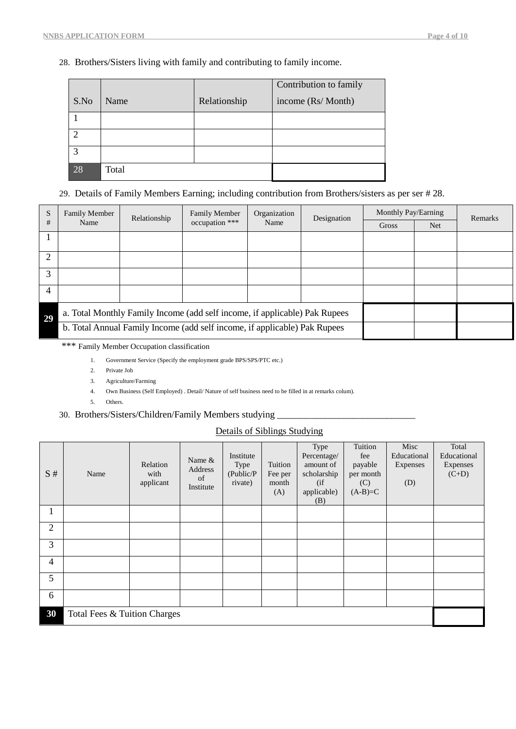## 28. Brothers/Sisters living with family and contributing to family income.

|      |       |              | Contribution to family |
|------|-------|--------------|------------------------|
| S.No | Name  | Relationship | income (Rs/ Month)     |
|      |       |              |                        |
|      |       |              |                        |
| 3    |       |              |                        |
| 28   | Total |              |                        |

## 29. Details of Family Members Earning; including contribution from Brothers/sisters as per ser # 28.

| S              | <b>Family Member</b> | Relationship                                                               | Organization<br><b>Family Member</b><br>Designation                       |      | Monthly Pay/Earning |       | Remarks    |  |
|----------------|----------------------|----------------------------------------------------------------------------|---------------------------------------------------------------------------|------|---------------------|-------|------------|--|
| #              | Name                 |                                                                            | occupation ***                                                            | Name |                     | Gross | <b>Net</b> |  |
|                |                      |                                                                            |                                                                           |      |                     |       |            |  |
|                |                      |                                                                            |                                                                           |      |                     |       |            |  |
| $\overline{2}$ |                      |                                                                            |                                                                           |      |                     |       |            |  |
| 3              |                      |                                                                            |                                                                           |      |                     |       |            |  |
| $\overline{4}$ |                      |                                                                            |                                                                           |      |                     |       |            |  |
| 29             |                      | a. Total Monthly Family Income (add self income, if applicable) Pak Rupees |                                                                           |      |                     |       |            |  |
|                |                      |                                                                            | b. Total Annual Family Income (add self income, if applicable) Pak Rupees |      |                     |       |            |  |

\*\*\* Family Member Occupation classification

- 1. Government Service (Specify the employment grade BPS/SPS/PTC etc.)
- 2. Private Job
- 3. Agriculture/Farming
- 4. Own Business (Self Employed) . Detail/ Nature of self business need to be filled in at remarks colum).
- 5. Others.

## 30. Brothers/Sisters/Children/Family Members studying \_

## Details of Siblings Studying

| S#             | Name                         | Relation<br>with<br>applicant | Name $&$<br>Address<br>of<br>Institute | Institute<br>Type<br>(Public/P)<br>rivate) | Tuition<br>Fee per<br>month<br>(A) | Type<br>Percentage/<br>amount of<br>scholarship<br>(i f)<br>applicable)<br>(B) | Tuition<br>fee<br>payable<br>per month<br>(C)<br>$(A-B)=C$ | Misc<br>Educational<br>Expenses<br>(D) | Total<br>Educational<br>Expenses<br>$(C+D)$ |  |
|----------------|------------------------------|-------------------------------|----------------------------------------|--------------------------------------------|------------------------------------|--------------------------------------------------------------------------------|------------------------------------------------------------|----------------------------------------|---------------------------------------------|--|
| 1              |                              |                               |                                        |                                            |                                    |                                                                                |                                                            |                                        |                                             |  |
| $\overline{2}$ |                              |                               |                                        |                                            |                                    |                                                                                |                                                            |                                        |                                             |  |
| 3              |                              |                               |                                        |                                            |                                    |                                                                                |                                                            |                                        |                                             |  |
| $\overline{4}$ |                              |                               |                                        |                                            |                                    |                                                                                |                                                            |                                        |                                             |  |
| 5              |                              |                               |                                        |                                            |                                    |                                                                                |                                                            |                                        |                                             |  |
| 6              |                              |                               |                                        |                                            |                                    |                                                                                |                                                            |                                        |                                             |  |
| 30             | Total Fees & Tuition Charges |                               |                                        |                                            |                                    |                                                                                |                                                            |                                        |                                             |  |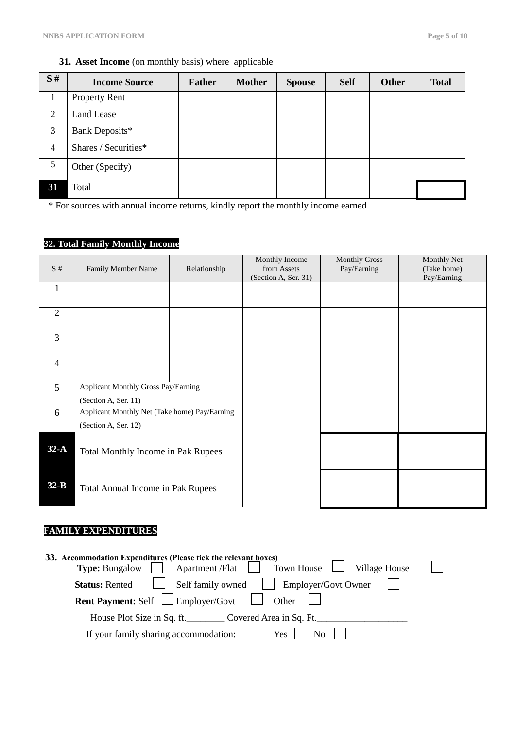## **31. Asset Income** (on monthly basis) where applicable

| S# | <b>Income Source</b> | <b>Father</b> | <b>Mother</b> | <b>Spouse</b> | <b>Self</b> | <b>Other</b> | <b>Total</b> |
|----|----------------------|---------------|---------------|---------------|-------------|--------------|--------------|
|    | <b>Property Rent</b> |               |               |               |             |              |              |
| 2  | Land Lease           |               |               |               |             |              |              |
| 3  | Bank Deposits*       |               |               |               |             |              |              |
| 4  | Shares / Securities* |               |               |               |             |              |              |
| 5  | Other (Specify)      |               |               |               |             |              |              |
| 31 | Total                |               |               |               |             |              |              |

\* For sources with annual income returns, kindly report the monthly income earned

## **32. Total Family Monthly Income**

| S#             | Family Member Name                                                    | Relationship | Monthly Income<br>from Assets<br>(Section A, Ser. 31) | <b>Monthly Gross</b><br>Pay/Earning | <b>Monthly Net</b><br>(Take home)<br>Pay/Earning |
|----------------|-----------------------------------------------------------------------|--------------|-------------------------------------------------------|-------------------------------------|--------------------------------------------------|
| 1              |                                                                       |              |                                                       |                                     |                                                  |
| $\overline{2}$ |                                                                       |              |                                                       |                                     |                                                  |
| 3              |                                                                       |              |                                                       |                                     |                                                  |
| $\overline{4}$ |                                                                       |              |                                                       |                                     |                                                  |
| 5 <sup>5</sup> | Applicant Monthly Gross Pay/Earning<br>(Section A, Ser. 11)           |              |                                                       |                                     |                                                  |
| 6              | Applicant Monthly Net (Take home) Pay/Earning<br>(Section A, Ser. 12) |              |                                                       |                                     |                                                  |
| $32-A$         | Total Monthly Income in Pak Rupees                                    |              |                                                       |                                     |                                                  |
| $32-B$         | Total Annual Income in Pak Rupees                                     |              |                                                       |                                     |                                                  |

## **FAMILY EXPENDITURES**

| 33. Accommodation Expenditures (Please tick the relevant boxes)<br><b>Type:</b> Bungalow <b>Apartment /Flat</b> Town House Village House                                          |  |  |  |  |  |  |  |  |
|-----------------------------------------------------------------------------------------------------------------------------------------------------------------------------------|--|--|--|--|--|--|--|--|
| <b>Status:</b> Rented <b>Status:</b> Rented <b>Status:</b> Rented <b>Status:</b> Rented <b>Status:</b> Rented <b>Status:</b> Self family owned <b>Status:</b> Employer/Govt Owner |  |  |  |  |  |  |  |  |
| <b>Rent Payment:</b> Self $\Box$ Employer/Govt $\Box$ Other                                                                                                                       |  |  |  |  |  |  |  |  |
| House Plot Size in Sq. ft. Covered Area in Sq. Ft.                                                                                                                                |  |  |  |  |  |  |  |  |
| If your family sharing accommodation:<br>$Yes$  <br>No.                                                                                                                           |  |  |  |  |  |  |  |  |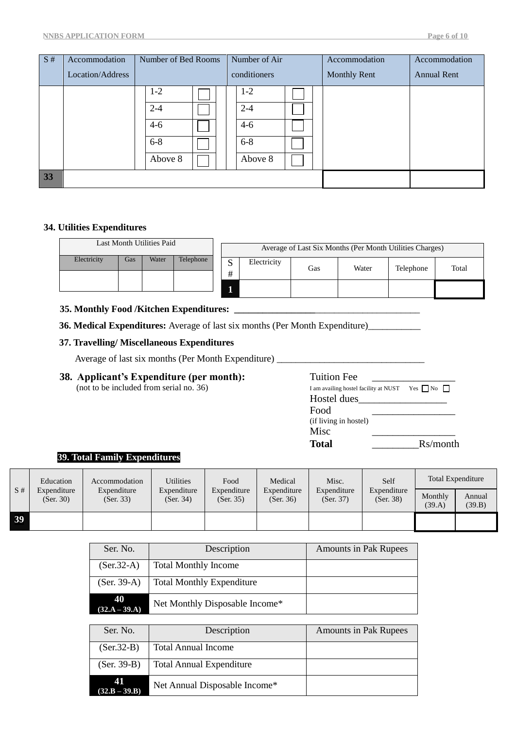| S#   | Accommodation    | Number of Bed Rooms | Number of Air | Accommodation       | Accommodation      |
|------|------------------|---------------------|---------------|---------------------|--------------------|
|      | Location/Address |                     | conditioners  | <b>Monthly Rent</b> | <b>Annual Rent</b> |
|      |                  | $1-2$               | $1-2$         |                     |                    |
|      |                  | $2 - 4$             | $2 - 4$       |                     |                    |
|      |                  | $4 - 6$             | $4-6$         |                     |                    |
|      |                  | $6 - 8$             | $6 - 8$       |                     |                    |
|      |                  | Above 8             | Above 8       |                     |                    |
| $33$ |                  |                     |               |                     |                    |

## **34. Utilities Expenditures**

| Last Month Utilities Paid |     |       |           |             |             |     | Average of Last Six Months (Per Month Utilities Charges) |           |       |
|---------------------------|-----|-------|-----------|-------------|-------------|-----|----------------------------------------------------------|-----------|-------|
| Electricity               | Gas | Water | Telephone | $\sim$<br># | Electricity | Gas | Water                                                    | Telephone | Total |
|                           |     |       |           |             |             |     |                                                          |           |       |

## **35. Monthly Food /Kitchen Expenditures: \_\_\_\_\_\_\_\_\_\_\_\_\_\_\_\_\_**\_\_\_\_\_\_\_\_\_\_\_\_\_\_\_\_\_\_\_\_\_\_

**36. Medical Expenditures:** Average of last six months (Per Month Expenditure)\_\_\_\_\_\_\_\_\_\_\_

## **37. Travelling/ Miscellaneous Expenditures**

Average of last six months (Per Month Expenditure) \_\_\_\_\_\_\_\_\_\_\_\_\_\_\_\_\_\_\_\_\_\_\_\_\_\_\_\_\_\_

# **38. Applicant's Expenditure (per month):** Tuition Fe

(not to be included from serial no.  $36$ )

| Tuition Fee                           |                    |
|---------------------------------------|--------------------|
| I am availing hostel facility at NUST | Yes $\n  Now\n  Y$ |
| Hostel dues                           |                    |
| Food                                  |                    |
| (if living in hostel)                 |                    |
| Misc                                  |                    |
| Total                                 | Rs/month           |

## **39. Total Family Expenditures**

|    | Education                | Accommodation            | Utilities                | Food                     | Medical                  | Misc.                    | Self                     |                   | Total Expenditure |
|----|--------------------------|--------------------------|--------------------------|--------------------------|--------------------------|--------------------------|--------------------------|-------------------|-------------------|
| S# | Expenditure<br>(Ser. 30) | Expenditure<br>(Ser. 33) | Expenditure<br>(Ser. 34) | Expenditure<br>(Ser. 35) | Expenditure<br>(Ser. 36) | Expenditure<br>(Ser. 37) | Expenditure<br>(Ser. 38) | Monthly<br>(39.A) | Annual<br>(39.B)  |
| 39 |                          |                          |                          |                          |                          |                          |                          |                   |                   |

| Ser. No.              | Description                      | <b>Amounts in Pak Rupees</b> |
|-----------------------|----------------------------------|------------------------------|
| $(Ser.32-A)$          | <b>Total Monthly Income</b>      |                              |
| $(Ser. 39-A)$         | <b>Total Monthly Expenditure</b> |                              |
| 40<br>$(32.A - 39.A)$ | Net Monthly Disposable Income*   |                              |

| Ser. No.              | Description                     | <b>Amounts in Pak Rupees</b> |
|-----------------------|---------------------------------|------------------------------|
| $(Ser.32-B)$          | <b>Total Annual Income</b>      |                              |
| $(Ser. 39-B)$         | <b>Total Annual Expenditure</b> |                              |
| 41<br>$(32.B - 39.B)$ | Net Annual Disposable Income*   |                              |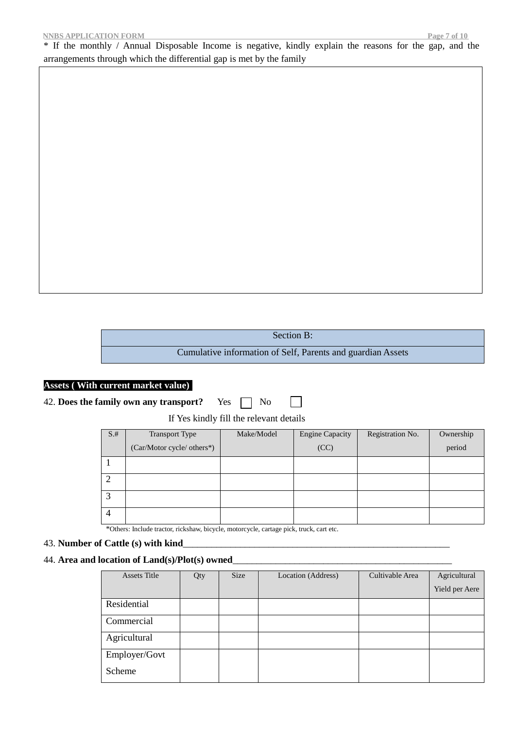\* If the monthly / Annual Disposable Income is negative, kindly explain the reasons for the gap, and the arrangements through which the differential gap is met by the family

| Section B:                                                  |
|-------------------------------------------------------------|
| Cumulative information of Self, Parents and guardian Assets |

## **Assets ( With current market value))**

|  |  |  |  | 42. Does the family own any transport? | Yes $\Box$ No |  |  |  |
|--|--|--|--|----------------------------------------|---------------|--|--|--|
|--|--|--|--|----------------------------------------|---------------|--|--|--|

If Yes kindly fill the relevant details

| $S+$ | Transport Type             | Make/Model | <b>Engine Capacity</b> | Registration No. | Ownership |
|------|----------------------------|------------|------------------------|------------------|-----------|
|      | (Car/Motor cycle/ others*) |            | (CC)                   |                  | period    |
|      |                            |            |                        |                  |           |
|      |                            |            |                        |                  |           |
|      |                            |            |                        |                  |           |
| 4    |                            |            |                        |                  |           |

\*Others: Include tractor, rickshaw, bicycle, motorcycle, cartage pick, truck, cart etc.

## 43. Number of Cattle (s) with kind

## 44. **Area and location of Land(s)/Plot(s) owned**\_\_\_\_\_\_\_\_\_\_\_\_\_\_\_\_\_\_\_\_\_\_\_\_\_\_\_\_\_\_\_\_\_\_\_\_\_\_\_\_\_\_\_\_\_\_

| <b>Assets Title</b> | Qty | <b>Size</b> | Location (Address) | Cultivable Area | Agricultural   |
|---------------------|-----|-------------|--------------------|-----------------|----------------|
|                     |     |             |                    |                 | Yield per Aere |
| Residential         |     |             |                    |                 |                |
| Commercial          |     |             |                    |                 |                |
| Agricultural        |     |             |                    |                 |                |
| Employer/Govt       |     |             |                    |                 |                |
| Scheme              |     |             |                    |                 |                |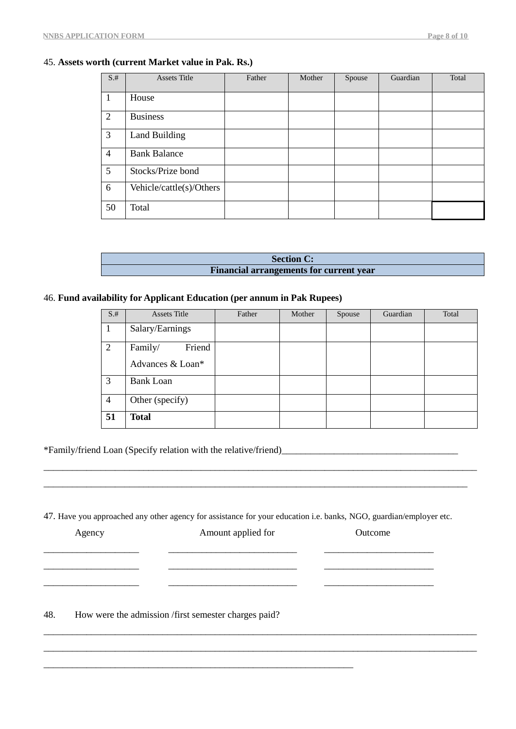## 45. **Assets worth (current Market value in Pak. Rs.)**

| $S.+$           | <b>Assets Title</b>      | Father | Mother | Spouse | Guardian | Total |
|-----------------|--------------------------|--------|--------|--------|----------|-------|
| -1              | House                    |        |        |        |          |       |
| 2               | <b>Business</b>          |        |        |        |          |       |
| 3               | Land Building            |        |        |        |          |       |
| $\overline{4}$  | <b>Bank Balance</b>      |        |        |        |          |       |
| $5\overline{)}$ | Stocks/Prize bond        |        |        |        |          |       |
| 6               | Vehicle/cattle(s)/Others |        |        |        |          |       |
| 50              | Total                    |        |        |        |          |       |

| <b>Section C:</b>                              |  |
|------------------------------------------------|--|
| <b>Financial arrangements for current year</b> |  |

## 46. **Fund availability for Applicant Education (per annum in Pak Rupees)**

| $S+$           | <b>Assets Title</b> | Father | Mother | Spouse | Guardian | Total |
|----------------|---------------------|--------|--------|--------|----------|-------|
|                | Salary/Earnings     |        |        |        |          |       |
| 2              | Friend<br>Family/   |        |        |        |          |       |
|                | Advances & Loan*    |        |        |        |          |       |
| 3              | <b>Bank Loan</b>    |        |        |        |          |       |
| $\overline{4}$ | Other (specify)     |        |        |        |          |       |
| 51             | <b>Total</b>        |        |        |        |          |       |

\*Family/friend Loan (Specify relation with the relative/friend)\_\_\_\_\_\_\_\_\_\_\_\_\_\_\_\_\_\_\_\_\_\_\_\_\_\_\_\_\_\_\_\_\_\_\_\_\_

47. Have you approached any other agency for assistance for your education i.e. banks, NGO, guardian/employer etc.

\_\_\_\_\_\_\_\_\_\_\_\_\_\_\_\_\_\_\_\_\_\_\_\_\_\_\_\_\_\_\_\_\_\_\_\_\_\_\_\_\_\_\_\_\_\_\_\_\_\_\_\_\_\_\_\_\_\_\_\_\_\_\_\_\_\_\_\_\_\_\_\_\_\_\_\_\_\_\_\_\_\_\_\_\_\_\_\_\_\_\_ \_\_\_\_\_\_\_\_\_\_\_\_\_\_\_\_\_\_\_\_\_\_\_\_\_\_\_\_\_\_\_\_\_\_\_\_\_\_\_\_\_\_\_\_\_\_\_\_\_\_\_\_\_\_\_\_\_\_\_\_\_\_\_\_\_\_\_\_\_\_\_\_\_\_\_\_\_\_\_\_\_\_\_\_\_\_\_\_\_

| Agency | Amount applied for                                  | Outcome |  |
|--------|-----------------------------------------------------|---------|--|
|        |                                                     |         |  |
|        |                                                     |         |  |
| AO     | How we the admission (Cust consector also not usid) |         |  |

\_\_\_\_\_\_\_\_\_\_\_\_\_\_\_\_\_\_\_\_\_\_\_\_\_\_\_\_\_\_\_\_\_\_\_\_\_\_\_\_\_\_\_\_\_\_\_\_\_\_\_\_\_\_\_\_\_\_\_\_\_\_\_\_\_\_\_\_\_\_\_\_\_\_\_\_\_\_\_\_\_\_\_\_\_\_\_\_\_\_\_ \_\_\_\_\_\_\_\_\_\_\_\_\_\_\_\_\_\_\_\_\_\_\_\_\_\_\_\_\_\_\_\_\_\_\_\_\_\_\_\_\_\_\_\_\_\_\_\_\_\_\_\_\_\_\_\_\_\_\_\_\_\_\_\_\_\_\_\_\_\_\_\_\_\_\_\_\_\_\_\_\_\_\_\_\_\_\_\_\_\_\_

48. How were the admission /first semester charges paid?

\_\_\_\_\_\_\_\_\_\_\_\_\_\_\_\_\_\_\_\_\_\_\_\_\_\_\_\_\_\_\_\_\_\_\_\_\_\_\_\_\_\_\_\_\_\_\_\_\_\_\_\_\_\_\_\_\_\_\_\_\_\_\_\_\_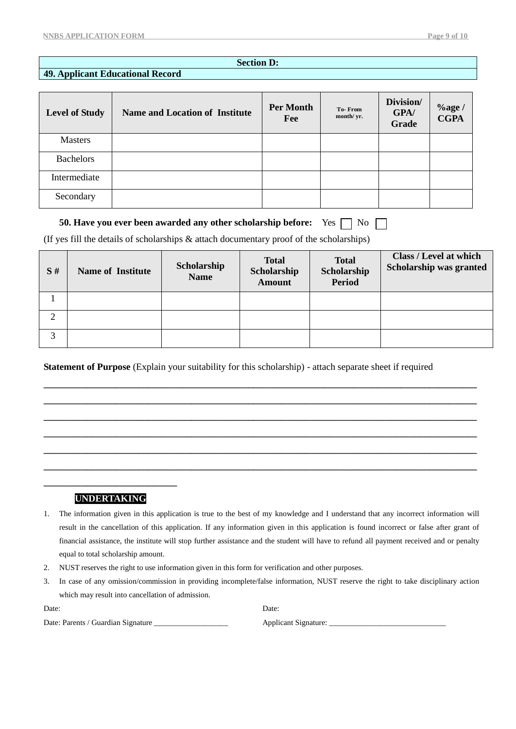## **Section D:**

## **49. Applicant Educational Record**

| <b>Level of Study</b> | <b>Name and Location of Institute</b> | <b>Per Month</b><br>Fee | <b>To-From</b><br>month/ yr. | Division/<br>GPA/<br>Grade | $\%$ age /<br><b>CGPA</b> |
|-----------------------|---------------------------------------|-------------------------|------------------------------|----------------------------|---------------------------|
| <b>Masters</b>        |                                       |                         |                              |                            |                           |
| <b>Bachelors</b>      |                                       |                         |                              |                            |                           |
| Intermediate          |                                       |                         |                              |                            |                           |
| Secondary             |                                       |                         |                              |                            |                           |

## **50. Have you ever been awarded any other scholarship before:** Yes  $\Box$  No  $\Box$

(If yes fill the details of scholarships & attach documentary proof of the scholarships)

| S#                | <b>Name of Institute</b> | Scholarship<br><b>Name</b> | <b>Total</b><br>Scholarship<br><b>Amount</b> | <b>Total</b><br>Scholarship<br><b>Period</b> | Class / Level at which<br><b>Scholarship was granted</b> |
|-------------------|--------------------------|----------------------------|----------------------------------------------|----------------------------------------------|----------------------------------------------------------|
|                   |                          |                            |                                              |                                              |                                                          |
| ◠                 |                          |                            |                                              |                                              |                                                          |
| $\mathbf{\Omega}$ |                          |                            |                                              |                                              |                                                          |

**\_\_\_\_\_\_\_\_\_\_\_\_\_\_\_\_\_\_\_\_\_\_\_\_\_\_\_\_\_\_\_\_\_\_\_\_\_\_\_\_\_\_\_\_\_\_\_\_\_\_\_\_\_\_\_\_\_\_\_\_\_\_\_\_\_\_\_\_\_\_\_\_\_\_\_\_\_\_\_\_\_\_\_\_\_\_\_\_\_\_\_ \_\_\_\_\_\_\_\_\_\_\_\_\_\_\_\_\_\_\_\_\_\_\_\_\_\_\_\_\_\_\_\_\_\_\_\_\_\_\_\_\_\_\_\_\_\_\_\_\_\_\_\_\_\_\_\_\_\_\_\_\_\_\_\_\_\_\_\_\_\_\_\_\_\_\_\_\_\_\_\_\_\_\_\_\_\_\_\_\_\_\_ \_\_\_\_\_\_\_\_\_\_\_\_\_\_\_\_\_\_\_\_\_\_\_\_\_\_\_\_\_\_\_\_\_\_\_\_\_\_\_\_\_\_\_\_\_\_\_\_\_\_\_\_\_\_\_\_\_\_\_\_\_\_\_\_\_\_\_\_\_\_\_\_\_\_\_\_\_\_\_\_\_\_\_\_\_\_\_\_\_\_\_ \_\_\_\_\_\_\_\_\_\_\_\_\_\_\_\_\_\_\_\_\_\_\_\_\_\_\_\_\_\_\_\_\_\_\_\_\_\_\_\_\_\_\_\_\_\_\_\_\_\_\_\_\_\_\_\_\_\_\_\_\_\_\_\_\_\_\_\_\_\_\_\_\_\_\_\_\_\_\_\_\_\_\_\_\_\_\_\_\_\_\_ \_\_\_\_\_\_\_\_\_\_\_\_\_\_\_\_\_\_\_\_\_\_\_\_\_\_\_\_\_\_\_\_\_\_\_\_\_\_\_\_\_\_\_\_\_\_\_\_\_\_\_\_\_\_\_\_\_\_\_\_\_\_\_\_\_\_\_\_\_\_\_\_\_\_\_\_\_\_\_\_\_\_\_\_\_\_\_\_\_\_\_ \_\_\_\_\_\_\_\_\_\_\_\_\_\_\_\_\_\_\_\_\_\_\_\_\_\_\_\_\_\_\_\_\_\_\_\_\_\_\_\_\_\_\_\_\_\_\_\_\_\_\_\_\_\_\_\_\_\_\_\_\_\_\_\_\_\_\_\_\_\_\_\_\_\_\_\_\_\_\_\_\_\_\_\_\_\_\_\_\_\_\_**

**Statement of Purpose** (Explain your suitability for this scholarship) - attach separate sheet if required

## **\_\_\_\_\_\_\_\_\_\_\_\_\_\_\_\_\_\_\_\_\_\_\_\_\_\_\_\_ 45. UNDERTAKING**

- 1. The information given in this application is true to the best of my knowledge and I understand that any incorrect information will result in the cancellation of this application. If any information given in this application is found incorrect or false after grant of financial assistance, the institute will stop further assistance and the student will have to refund all payment received and or penalty equal to total scholarship amount.
- 2. NUST reserves the right to use information given in this form for verification and other purposes.
- 3. In case of any omission/commission in providing incomplete/false information, NUST reserve the right to take disciplinary action which may result into cancellation of admission.

| Date:                              | Date: |
|------------------------------------|-------|
| Date: Parents / Guardian Signature | Appli |

Date: Parents / Guardian Signature \_\_\_\_\_\_\_\_\_\_\_\_\_\_\_\_\_\_\_ Applicant Signature: \_\_\_\_\_\_\_\_\_\_\_\_\_\_\_\_\_\_\_\_\_\_\_\_\_\_\_\_\_\_